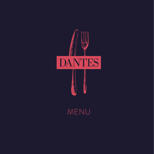

MENU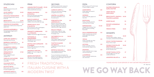PIZZA All of our pizzas are 12" and thin based. 9" pizzas available on request.

**MARGHERITA £10** Simply topped with tomato & fresh mozzarella.

**INFERNO £11.50** Tomato, mozzarella, pepperoni & fresh chilli.

**RUSTICANA £13.50** Tomato, mozzarella, prosciutto, rocket & parmesan shavings.

**PARMIGGIANA £11.50** Chopped cherry tomatoes, fresh garlic & a generous sprinkling of parmesan.

**SAUTEED SPINAC GARLIC BUTTER** 

**GREEN BEANS WITH CHILLI** 

**BROCCOLETTI, LI TOASTED ALMON** 

**POLLO PEPPERONCINO £12** Tomato, mozzarella, spicy marinated chicken, green olives, red onion & dried chilli.

**ROCKET & PARM SALAD** 

**FRENCH FRIES** 

**'NDUJA £13** Tomato, mozzarella, spicy nduja, roasted peppers & rocket.

**ACCIUGA £13** Tomato, mozzarella, anchovies, fennel seed salami & green olives.

**SFIZZIOSA £13** Tomato, mozzarella, Tuscan sausage, red onion & dried chilli.

**LA BURRATA £13** Tomato, mozzarella, whole burrata, salsa verde drizzle.

# CONTORNI

**MIXED SALAD £4**

# DESSERTS

**TIRAMISU £6.50** The classic Italian pudding - espresso, mascarpone, amaretto & savoiardi biscuits.

**STICKY TOFFEE PUDDING £7** Nancy's famous recipe!

**DOUBLE CHOCOLATE £6.50 PROFITEROLES**  Profiteroles with milk chocolate mousse & white chocolate cream.

**HONEY PANNA COTTA £7** Honey & yoghurt set cream with candied oats & berries.

**PENNE CON PESTO 612 DI RUCOLA**  Penne with rocket pesto, green beans, broccoletti & toasted almonds.

**ASSORTED GELATO** *GF* **£4.75**

# STUZZICHINI

| <b>PANE</b>                     | £3.50 |
|---------------------------------|-------|
| Homemade bread with olive oil & |       |
| balsamic vinegar.               |       |

**SPAGHETTI CARBONARA £12 A LA ROMANA**  Spaghetti with pancetta, egg yolk & parmesan.

**OLIVE VERDE** *GF* **£4.50** Marinated green olives.

**FOCACCIA ROSEMARINO £5** Pizza bread with garlic butter, rosemary & rock salt.

**BRUSCHETTA £3.90** Flatbread with cherry tomatoes, red onion & olive oil.

## **MEZZELUNE PORCINI 614** Half moon ravioli stuffed with porcini

**CROSTINI DI SCAMORZA £5**  Flatbread with smoked scamorza cheese & red pepper pesto.

**FOCACCIA MOZZARELLA £5.50** Pizza bread topped with garlic butter &

mozzarella cheese.

# **ANTIPASTI**

SALTIMBOCCA A LA **£16.50 ROMANA** *GF*

| <b>ZUPPA DEL GIORNO GF</b><br>Homemade soup of the day.                                       | £6    |
|-----------------------------------------------------------------------------------------------|-------|
| <b>BURRATA E TARTUFO GF</b><br>Burrata with prosciutto, almonds, rocket<br>& truffle oil.     | £9    |
| <b>GAMBERONI VERDE GF</b><br>King prawns sautéed with roasted<br>peppers, garlic & chilli.    | £9.50 |
| <b>SPEZZATINO DI</b><br><b>SALSICCIA GF</b><br>Tuscan sausage and roasted<br>red pepper stew. | £7.50 |
| <b>TORTA DI CACCIATORE</b><br>Ham hough terrine wrapped<br>in prosciutto.                     | £8.00 |
| <b>CALAMARI FRITTI</b><br>Calamari rings with citrus aioli.                                   | £7    |
| <b>RICOTTA FRITTA</b><br>Ricotta cakes with sundried tomatoes<br>& roasted red pepper sauce.  | £7    |

**ANTIPASTO MISTO** *GF* **£16** Italian charcuterie board for two.

# PRIMI

**LINGUINI FRUTTI DI MARE £15.50** Linguini with prawns and calamari in a cherry tomato & white wine sauce.

**RAGU DI AGNELLO £14.50** Pappardelle with slow cooked lamb shoulder, red wine & cannellini bean ragu.

**PENNE AGLIO, OLIO £12 E SALSICCIA**  Penne with olive oil, chilli, roasted peppers, green olives & Tuscan sausage.

**PAPPARDELLE £12.50 POMODORINI**  Papardelle with cherry tomato & roasted pepper sugo.

## **RAVIOLI CON CAPESANTE £16 E GAMBERI**

Ravioli stuffed with king prawns & scallops, doused in sage butter. **SPAGHETTI TOSCANA £13** Spaghetti with Tuscan sausage, chilli & ricotta ragu.

| <b>CH IN</b>                          | £4    |
|---------------------------------------|-------|
|                                       | £4    |
| <b>EMON &amp; £4.50</b><br><b>ADS</b> |       |
|                                       | £4    |
| <b>ESAN</b>                           | £5    |
|                                       | £3.50 |

mushrooms, served with truffle butter.

All dishes served with either rosemary & garlic roasted potatoes or sea salt fries.

**CARNE DI CERVO** *GF* **£22** Venison loin with braised red cabbage and apple & red wine sauce.

**ANATRA A LA MORA** *GF* **£19** Duck breast with blackberry sauce & sauteed spinach.

### **PORCHETTA CON £19 AGRODOLCE** *GF*

Rosemary, fennel and chilli stuffed pork loin, wrapped in prosciutto, with broccoletti & agrodolce (a traditional shallot & red wine vinegar reduction).

**POLLO E 'NDUJA £18**

Chicken breast stuffed with 'nduja, ricotta and lemon, with roasted kale & red pepper sauce.

Veal escalopes wrapped in prosciutto and sage with a rich marsala sauce.

## **FILETTO DI MANZO £31**

**ALL'AGLIO** *GF* Chargrilled prime Scotch fillet with garlic butter.

**BISTECCA TAGLIATA** *GF* **£28.50**

10oz chargrilled Scottish beef ribeye with homemade chimichurri.

To ensure the freshness and quality of our produce, our fish selection varies from day to day. One of our team will be happy to inform you of the daily fish special.

FRESH TRADITIONAL ITALIAN CUISINE WITH A MODERN TWIST

# **SECONDI**

## PLEASE ADVISE YOUR SERVER OF ANY DIETARY REQUIREMENTS

WE GO WAY BACK

*GF - Gluten Free*